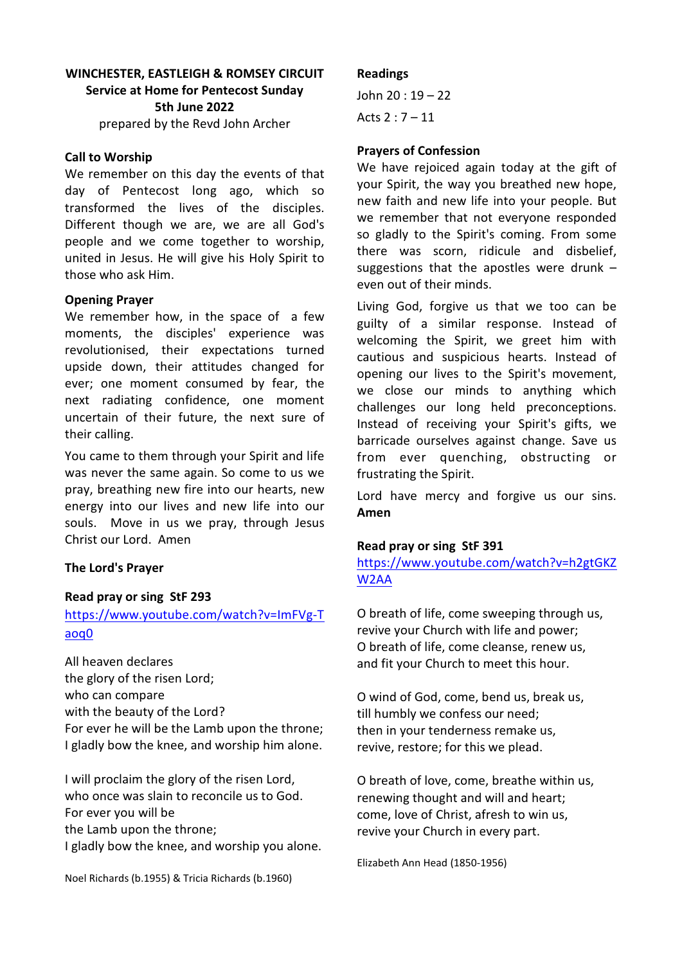# **WINCHESTER, EASTLEIGH & ROMSEY CIRCUIT Service at Home for Pentecost Sunday 5th June 2022** prepared by the Revd John Archer

### **Call to Worship**

We remember on this day the events of that day of Pentecost long ago, which so transformed the lives of the disciples. Different though we are, we are all God's people and we come together to worship, united in Jesus. He will give his Holy Spirit to those who ask Him.

### **Opening Prayer**

We remember how, in the space of a few moments, the disciples' experience was revolutionised, their expectations turned upside down, their attitudes changed for ever; one moment consumed by fear, the next radiating confidence, one moment uncertain of their future, the next sure of their calling.

You came to them through your Spirit and life was never the same again. So come to us we pray, breathing new fire into our hearts, new energy into our lives and new life into our souls. Move in us we pray, through Jesus Christ our Lord. Amen

## **The Lord's Prayer**

### **Read pray or sing StF 293**

# [https://www.youtube.com/watch?v=ImFVg-T](https://www.youtube.com/watch?v=ImFVg-Taoq0) [aoq0](https://www.youtube.com/watch?v=ImFVg-Taoq0)

All heaven declares the glory of the risen Lord; who can compare with the beauty of the Lord? For ever he will be the Lamb upon the throne; I gladly bow the knee, and worship him alone.

I will proclaim the glory of the risen Lord, who once was slain to reconcile us to God. For ever you will be the Lamb upon the throne; I gladly bow the knee, and worship you alone.

Noel Richards (b.1955) & Tricia Richards (b.1960)

### **Readings**

John 20 : 19 – 22 Acts 2 : 7 – 11

### **Prayers of Confession**

We have rejoiced again today at the gift of your Spirit, the way you breathed new hope, new faith and new life into your people. But we remember that not everyone responded so gladly to the Spirit's coming. From some there was scorn, ridicule and disbelief, suggestions that the apostles were drunk – even out of their minds.

Living God, forgive us that we too can be guilty of a similar response. Instead of welcoming the Spirit, we greet him with cautious and suspicious hearts. Instead of opening our lives to the Spirit's movement, we close our minds to anything which challenges our long held preconceptions. Instead of receiving your Spirit's gifts, we barricade ourselves against change. Save us from ever quenching, obstructing or frustrating the Spirit.

Lord have mercy and forgive us our sins. **Amen**

### **Read pray or sing StF 391**

[https://www.youtube.com/watch?v=h2gtGKZ](https://www.youtube.com/watch?v=h2gtGKZW2AA) [W2AA](https://www.youtube.com/watch?v=h2gtGKZW2AA)

O breath of life, come sweeping through us, revive your Church with life and power; O breath of life, come cleanse, renew us, and fit your Church to meet this hour.

O wind of God, come, bend us, break us, till humbly we confess our need; then in your tenderness remake us, revive, restore; for this we plead.

O breath of love, come, breathe within us, renewing thought and will and heart; come, love of Christ, afresh to win us, revive your Church in every part.

Elizabeth Ann Head (1850-1956)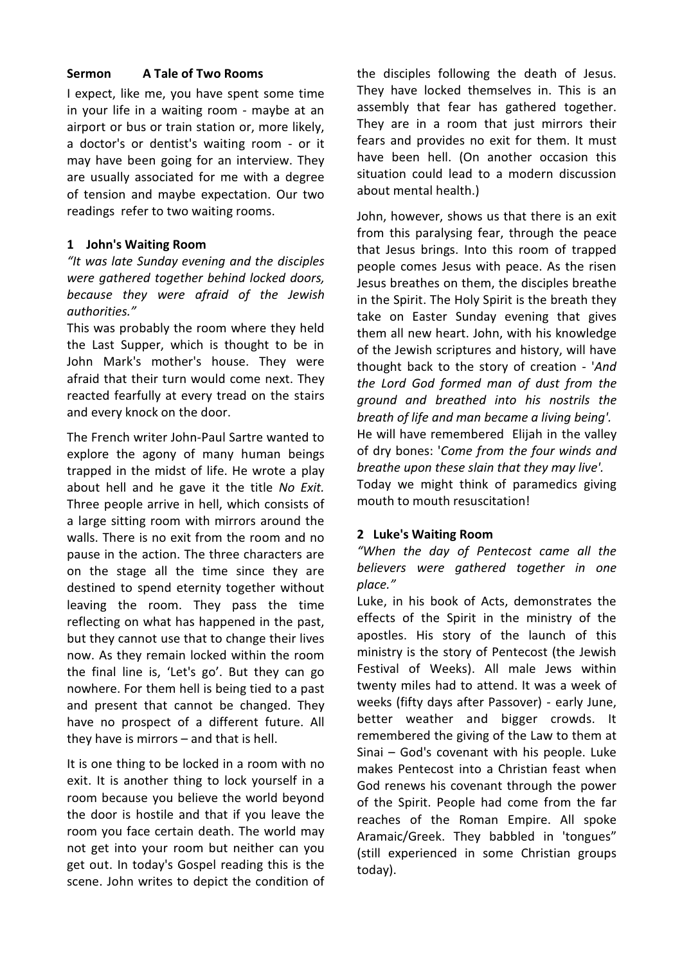# **Sermon A Tale of Two Rooms**

I expect, like me, you have spent some time in your life in a waiting room - maybe at an airport or bus or train station or, more likely, a doctor's or dentist's waiting room - or it may have been going for an interview. They are usually associated for me with a degree of tension and maybe expectation. Our two readings refer to two waiting rooms.

# **1 John's Waiting Room**

*"It was late Sunday evening and the disciples were gathered together behind locked doors, because they were afraid of the Jewish authorities."*

This was probably the room where they held the Last Supper, which is thought to be in John Mark's mother's house. They were afraid that their turn would come next. They reacted fearfully at every tread on the stairs and every knock on the door.

The French writer John-Paul Sartre wanted to explore the agony of many human beings trapped in the midst of life. He wrote a play about hell and he gave it the title *No Exit.* Three people arrive in hell, which consists of a large sitting room with mirrors around the walls. There is no exit from the room and no pause in the action. The three characters are on the stage all the time since they are destined to spend eternity together without leaving the room. They pass the time reflecting on what has happened in the past, but they cannot use that to change their lives now. As they remain locked within the room the final line is, 'Let's go'. But they can go nowhere. For them hell is being tied to a past and present that cannot be changed. They have no prospect of a different future. All they have is mirrors – and that is hell.

It is one thing to be locked in a room with no exit. It is another thing to lock yourself in a room because you believe the world beyond the door is hostile and that if you leave the room you face certain death. The world may not get into your room but neither can you get out. In today's Gospel reading this is the scene. John writes to depict the condition of the disciples following the death of Jesus. They have locked themselves in. This is an assembly that fear has gathered together. They are in a room that just mirrors their fears and provides no exit for them. It must have been hell. (On another occasion this situation could lead to a modern discussion about mental health.)

John, however, shows us that there is an exit from this paralysing fear, through the peace that Jesus brings. Into this room of trapped people comes Jesus with peace. As the risen Jesus breathes on them, the disciples breathe in the Spirit. The Holy Spirit is the breath they take on Easter Sunday evening that gives them all new heart. John, with his knowledge of the Jewish scriptures and history, will have thought back to the story of creation - '*And the Lord God formed man of dust from the ground and breathed into his nostrils the breath of life and man became a living being'.* He will have remembered Elijah in the valley of dry bones: '*Come from the four winds and breathe upon these slain that they may live'.*  Today we might think of paramedics giving mouth to mouth resuscitation!

## **2 Luke's Waiting Room**

*"When the day of Pentecost came all the believers were gathered together in one place."*

Luke, in his book of Acts, demonstrates the effects of the Spirit in the ministry of the apostles. His story of the launch of this ministry is the story of Pentecost (the Jewish Festival of Weeks). All male Jews within twenty miles had to attend. It was a week of weeks (fifty days after Passover) - early June, better weather and bigger crowds. It remembered the giving of the Law to them at Sinai – God's covenant with his people. Luke makes Pentecost into a Christian feast when God renews his covenant through the power of the Spirit. People had come from the far reaches of the Roman Empire. All spoke Aramaic/Greek. They babbled in 'tongues" (still experienced in some Christian groups today).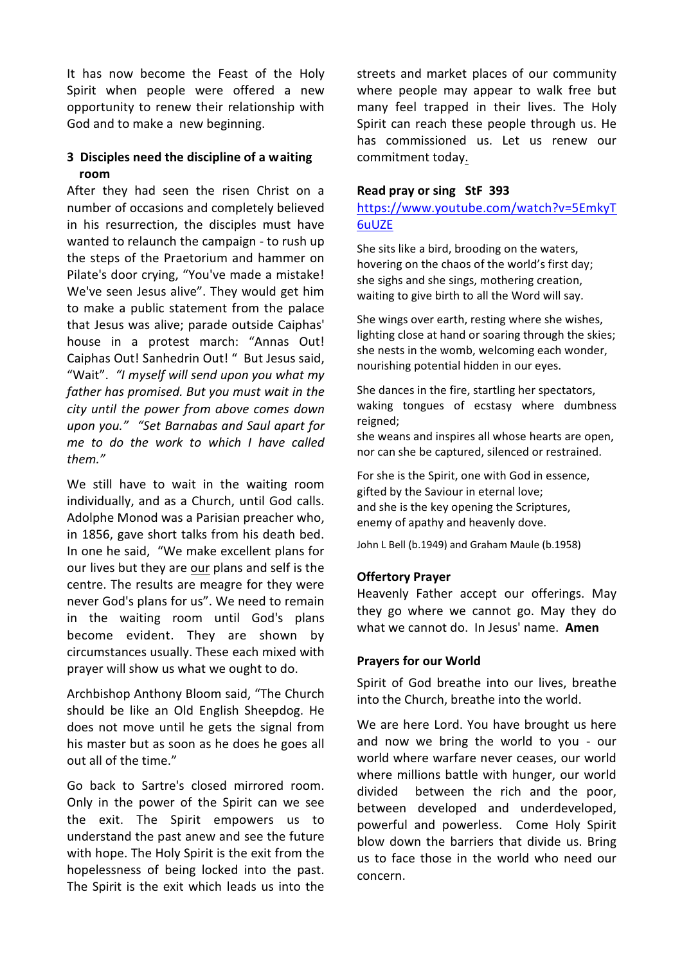It has now become the Feast of the Holy Spirit when people were offered a new opportunity to renew their relationship with God and to make a new beginning.

# **3 Disciples need the discipline of a waiting room**

After they had seen the risen Christ on a number of occasions and completely believed in his resurrection, the disciples must have wanted to relaunch the campaign - to rush up the steps of the Praetorium and hammer on Pilate's door crying, "You've made a mistake! We've seen Jesus alive". They would get him to make a public statement from the palace that Jesus was alive; parade outside Caiphas' house in a protest march: "Annas Out! Caiphas Out! Sanhedrin Out! " But Jesus said, "Wait". *"I myself will send upon you what my father has promised. But you must wait in the city until the power from above comes down upon you." "Set Barnabas and Saul apart for me to do the work to which I have called them."*

We still have to wait in the waiting room individually, and as a Church, until God calls. Adolphe Monod was a Parisian preacher who, in 1856, gave short talks from his death bed. In one he said, "We make excellent plans for our lives but they are our plans and self is the centre. The results are meagre for they were never God's plans for us". We need to remain in the waiting room until God's plans become evident. They are shown by circumstances usually. These each mixed with prayer will show us what we ought to do.

Archbishop Anthony Bloom said, "The Church should be like an Old English Sheepdog. He does not move until he gets the signal from his master but as soon as he does he goes all out all of the time."

Go back to Sartre's closed mirrored room. Only in the power of the Spirit can we see the exit. The Spirit empowers us to understand the past anew and see the future with hope. The Holy Spirit is the exit from the hopelessness of being locked into the past. The Spirit is the exit which leads us into the streets and market places of our community where people may appear to walk free but many feel trapped in their lives. The Holy Spirit can reach these people through us. He has commissioned us. Let us renew our commitment today.

### **Read pray or sing StF 393**

## [https://www.youtube.com/watch?v=5EmkyT](https://www.youtube.com/watch?v=5EmkyT6uUZE) [6uUZE](https://www.youtube.com/watch?v=5EmkyT6uUZE)

She sits like a bird, brooding on the waters, hovering on the chaos of the world's first day; she sighs and she sings, mothering creation, waiting to give birth to all the Word will say.

She wings over earth, resting where she wishes, lighting close at hand or soaring through the skies; she nests in the womb, welcoming each wonder, nourishing potential hidden in our eyes.

She dances in the fire, startling her spectators, waking tongues of ecstasy where dumbness reigned;

she weans and inspires all whose hearts are open, nor can she be captured, silenced or restrained.

For she is the Spirit, one with God in essence, gifted by the Saviour in eternal love; and she is the key opening the Scriptures, enemy of apathy and heavenly dove.

John L Bell (b.1949) and Graham Maule (b.1958)

### **Offertory Prayer**

Heavenly Father accept our offerings. May they go where we cannot go. May they do what we cannot do. In Jesus' name. **Amen**

### **Prayers for our World**

Spirit of God breathe into our lives, breathe into the Church, breathe into the world.

We are here Lord. You have brought us here and now we bring the world to you - our world where warfare never ceases, our world where millions battle with hunger, our world divided between the rich and the poor, between developed and underdeveloped, powerful and powerless. Come Holy Spirit blow down the barriers that divide us. Bring us to face those in the world who need our concern.